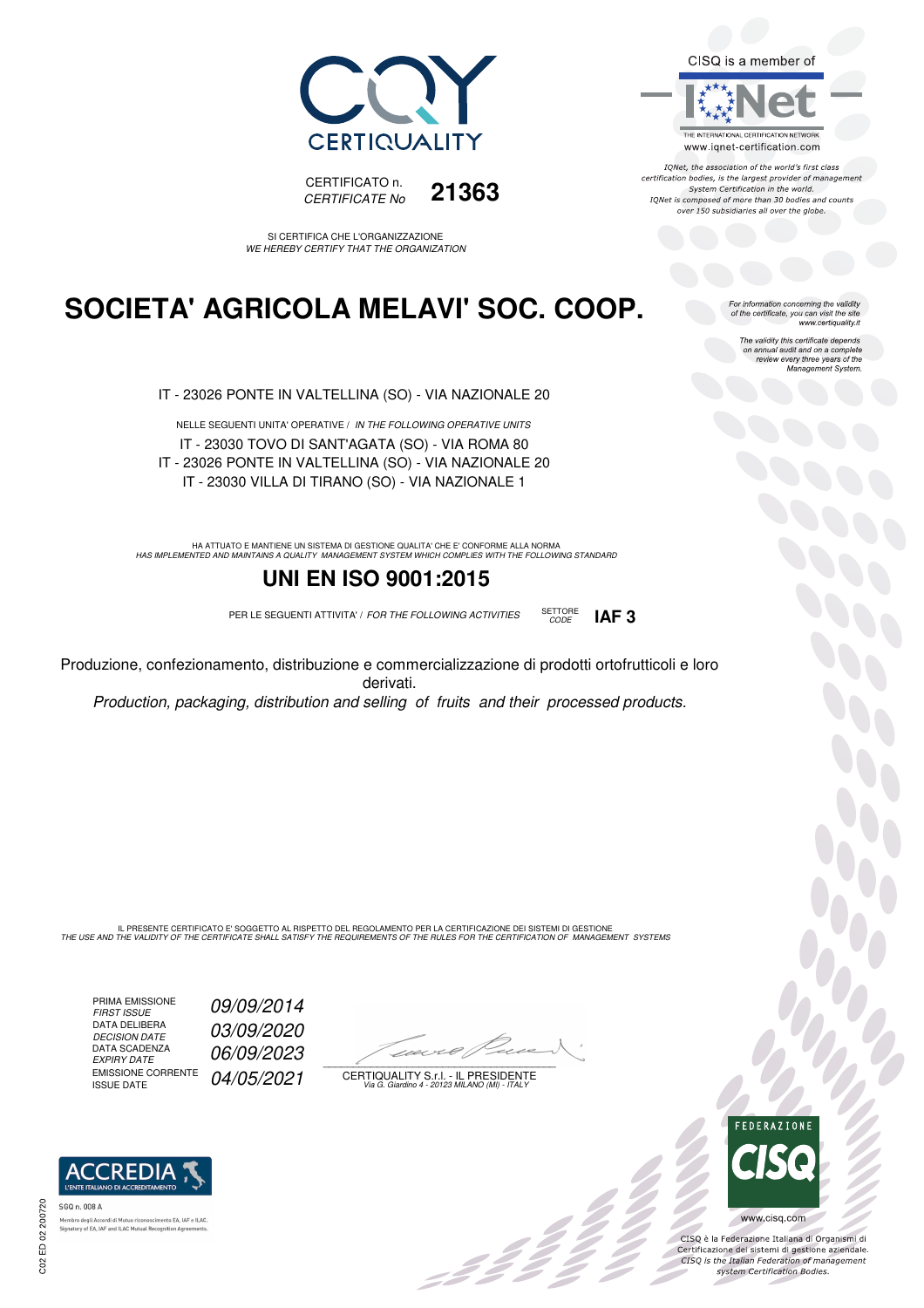



SI CERTIFICA CHE L'ORGANIZZAZIONE WE HEREBY CERTIFY THAT THE ORGANIZATION

### **SOCIETA' AGRICOLA MELAVI' SOC. COOP.**

IT - 23026 PONTE IN VALTELLINA (SO) - VIA NAZIONALE 20

NELLE SEGUENTI UNITA' OPERATIVE / IN THE FOLLOWING OPERATIVE UNITS IT - 23030 TOVO DI SANT'AGATA (SO) - VIA ROMA 80 IT - 23026 PONTE IN VALTELLINA (SO) - VIA NAZIONALE 20 IT - 23030 VILLA DI TIRANO (SO) - VIA NAZIONALE 1

HA ATTUATO E MANTIENE UN SISTEMA DI GESTIONE QUALITA' CHE E' CONFORME ALLA NORMA<br>HAS IMPLEMENTED AND MAINTAINS A QUALITY MANAGEMENT SYSTEM WHICH COMPLIES WITH THE FOLLOWING STANDARD

### **UNI EN ISO 9001:2015**

PER LE SEGUENTI ATTIVITA' / FOR THE FOLLOWING ACTIVITIES SETTORE



Produzione, confezionamento, distribuzione e commercializzazione di prodotti ortofrutticoli e loro derivati.

Production, packaging, distribution and selling of fruits and their processed products.

IL PRESENTE CERTIFICATO E' SOGGETTO AL RISPETTO DEL REGOLAMENTO PER LA CERTIFICAZIONE DEI SISTEMI DI GESTIONE<br>THE USE AND THE VALIDITY OF THE CERTIFICATE SHALL SATISFY THE REQUIREMENTS OF THE RULES FOR THE CERTIFICATION OF

PRIMA EMISSIONE<br>FIRST ISSUE DATA DELIBERA<br>DECISION DATE DATA SCADENZA<br>EXPIRY DATE EMISSIONE CORRENTE<br>ISSUE DATE

09/09/2014 03/09/2020 06/09/2023 04/05/2021

 $\overline{\phantom{a}}$ 

: 11

CERTIQUALITY S.r.l. - IL PRESIDENTE Via G. Giardino 4 - 20123 MILANO (MI) - ITALY



IONet, the association of the world's first class certification bodies, is the largest provider of management System Certification in the world. IQNet is composed of more than 30 bodies and counts over 150 subsidiaries all over the globe.

For information concerning the validity<br>of the certificate, you can visit the site<br>www.certiquality.it

The validity this certificate depends on annual audit and on a complete review every three years of the Management System.



CISQ è la Federazione Italiana di Organismi di Certificazione dei sistemi di gestione aziendale.<br>CISQ is the Italian Federation of management system Certification Bodies.



tory of EA, IAF and ILAC Mutual Recognit